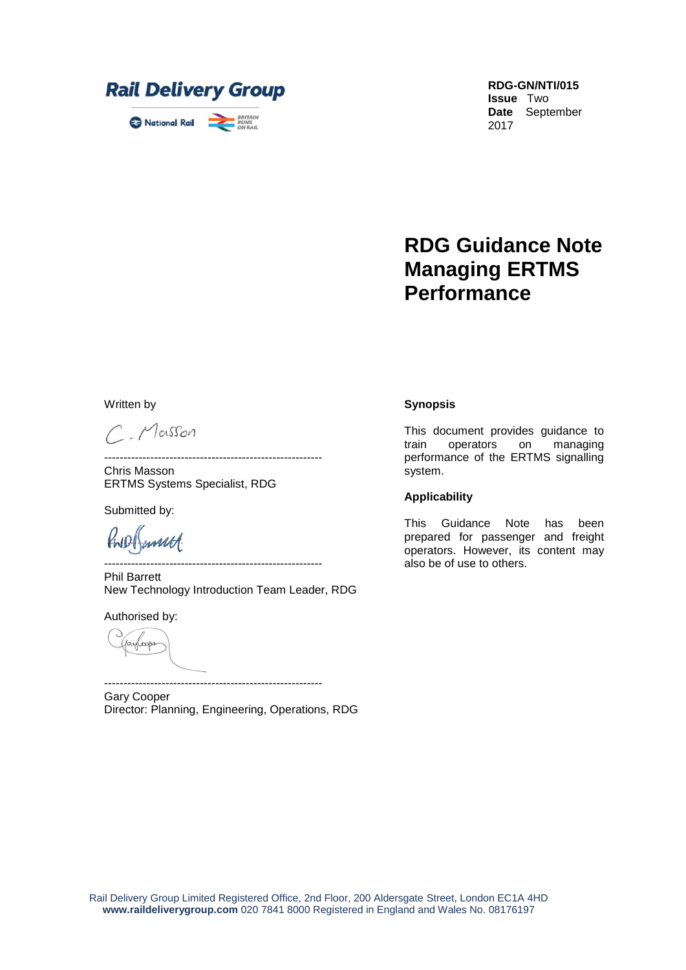

**RDG-GN/NTI/015 Issue** Two **Date** September 2017

# **RDG Guidance Note Managing ERTMS Performance**

Written by

C. Masson

Chris Masson ERTMS Systems Specialist, RDG

Submitted by:

PWD (annuel

--------------------------------------------------------- Phil Barrett New Technology Introduction Team Leader, RDG

---------------------------------------------------------

Authorised by:

payloop

--------------------------------------------------------- Gary Cooper Director: Planning, Engineering, Operations, RDG

#### **Synopsis**

This document provides guidance to train operators on managing performance of the ERTMS signalling system.

#### **Applicability**

This Guidance Note has been prepared for passenger and freight operators. However, its content may also be of use to others.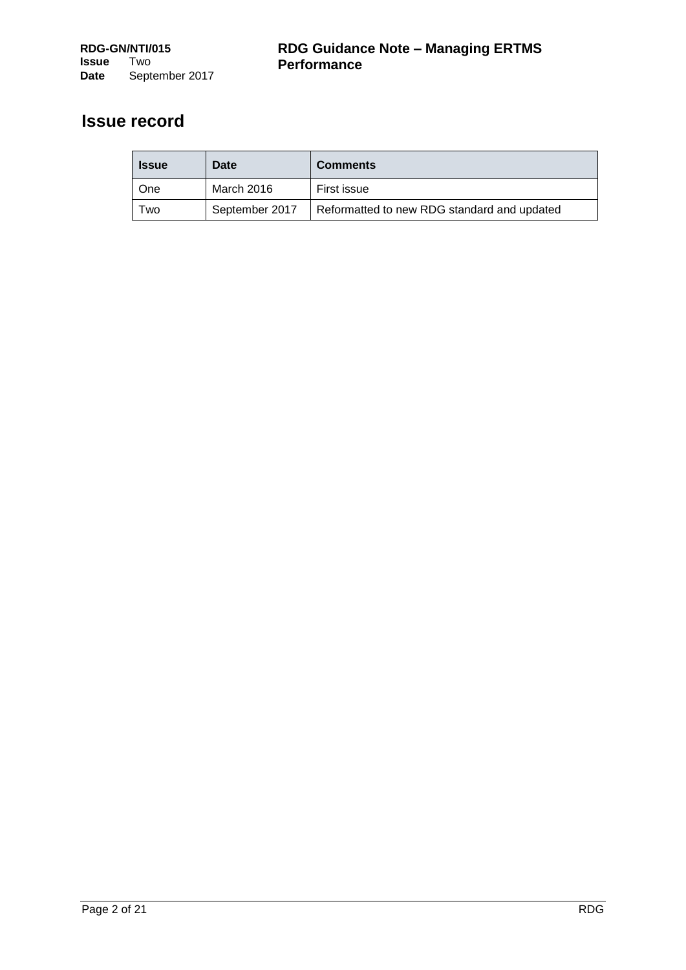## **Issue record**

| <b>Issue</b> | Date           | <b>Comments</b>                             |
|--------------|----------------|---------------------------------------------|
| l One        | March 2016     | First issue                                 |
| Two          | September 2017 | Reformatted to new RDG standard and updated |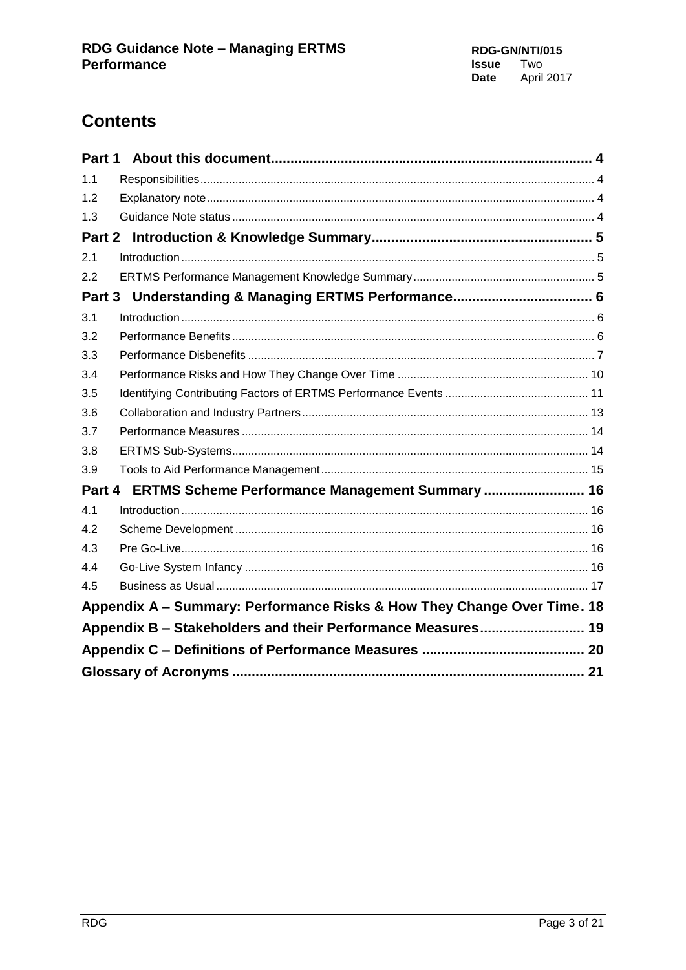# **Contents**

| Part 1 |                                                                         |  |
|--------|-------------------------------------------------------------------------|--|
| 1.1    |                                                                         |  |
| 1.2    |                                                                         |  |
| 1.3    |                                                                         |  |
|        |                                                                         |  |
| 2.1    |                                                                         |  |
| 2.2    |                                                                         |  |
| Part 3 |                                                                         |  |
| 3.1    |                                                                         |  |
| 3.2    |                                                                         |  |
| 3.3    |                                                                         |  |
| 3.4    |                                                                         |  |
| 3.5    |                                                                         |  |
| 3.6    |                                                                         |  |
| 3.7    |                                                                         |  |
| 3.8    |                                                                         |  |
| 3.9    |                                                                         |  |
|        | Part 4 ERTMS Scheme Performance Management Summary  16                  |  |
| 4.1    |                                                                         |  |
| 4.2    |                                                                         |  |
| 4.3    |                                                                         |  |
| 4.4    |                                                                         |  |
| 4.5    |                                                                         |  |
|        | Appendix A - Summary: Performance Risks & How They Change Over Time. 18 |  |
|        | Appendix B - Stakeholders and their Performance Measures 19             |  |
|        |                                                                         |  |
|        |                                                                         |  |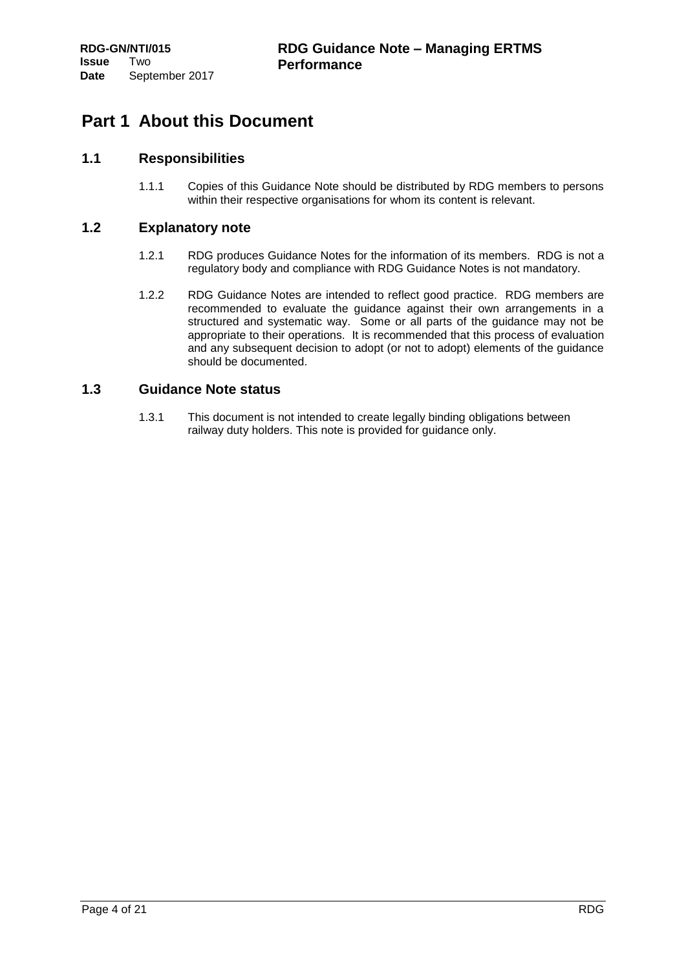## <span id="page-3-0"></span>**Part 1 About this Document**

## <span id="page-3-1"></span>**1.1 Responsibilities**

1.1.1 Copies of this Guidance Note should be distributed by RDG members to persons within their respective organisations for whom its content is relevant.

## <span id="page-3-2"></span>**1.2 Explanatory note**

- 1.2.1 RDG produces Guidance Notes for the information of its members. RDG is not a regulatory body and compliance with RDG Guidance Notes is not mandatory.
- 1.2.2 RDG Guidance Notes are intended to reflect good practice. RDG members are recommended to evaluate the guidance against their own arrangements in a structured and systematic way. Some or all parts of the guidance may not be appropriate to their operations. It is recommended that this process of evaluation and any subsequent decision to adopt (or not to adopt) elements of the guidance should be documented.

## <span id="page-3-3"></span>**1.3 Guidance Note status**

1.3.1 This document is not intended to create legally binding obligations between railway duty holders. This note is provided for guidance only.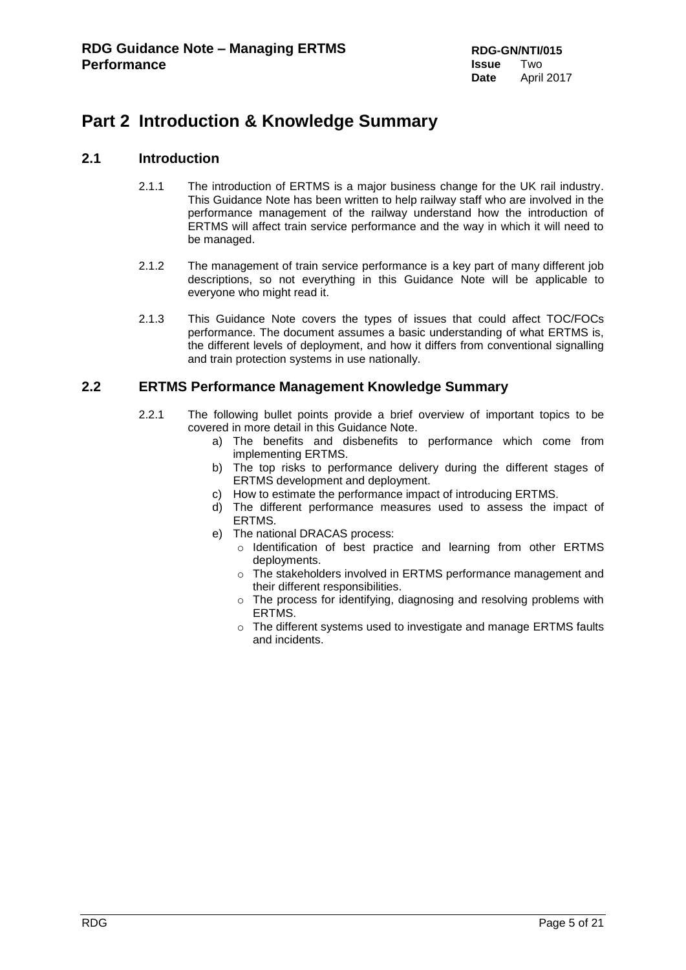## <span id="page-4-0"></span>**Part 2 Introduction & Knowledge Summary**

## <span id="page-4-1"></span>**2.1 Introduction**

- 2.1.1 The introduction of ERTMS is a major business change for the UK rail industry. This Guidance Note has been written to help railway staff who are involved in the performance management of the railway understand how the introduction of ERTMS will affect train service performance and the way in which it will need to be managed.
- 2.1.2 The management of train service performance is a key part of many different job descriptions, so not everything in this Guidance Note will be applicable to everyone who might read it.
- 2.1.3 This Guidance Note covers the types of issues that could affect TOC/FOCs performance. The document assumes a basic understanding of what ERTMS is, the different levels of deployment, and how it differs from conventional signalling and train protection systems in use nationally.

## <span id="page-4-2"></span>**2.2 ERTMS Performance Management Knowledge Summary**

- 2.2.1 The following bullet points provide a brief overview of important topics to be covered in more detail in this Guidance Note.
	- a) The benefits and disbenefits to performance which come from implementing ERTMS.
	- b) The top risks to performance delivery during the different stages of ERTMS development and deployment.
	- c) How to estimate the performance impact of introducing ERTMS.
	- d) The different performance measures used to assess the impact of ERTMS.
	- e) The national DRACAS process:
		- o Identification of best practice and learning from other ERTMS deployments.
		- o The stakeholders involved in ERTMS performance management and their different responsibilities.
		- o The process for identifying, diagnosing and resolving problems with ERTMS.
		- o The different systems used to investigate and manage ERTMS faults and incidents.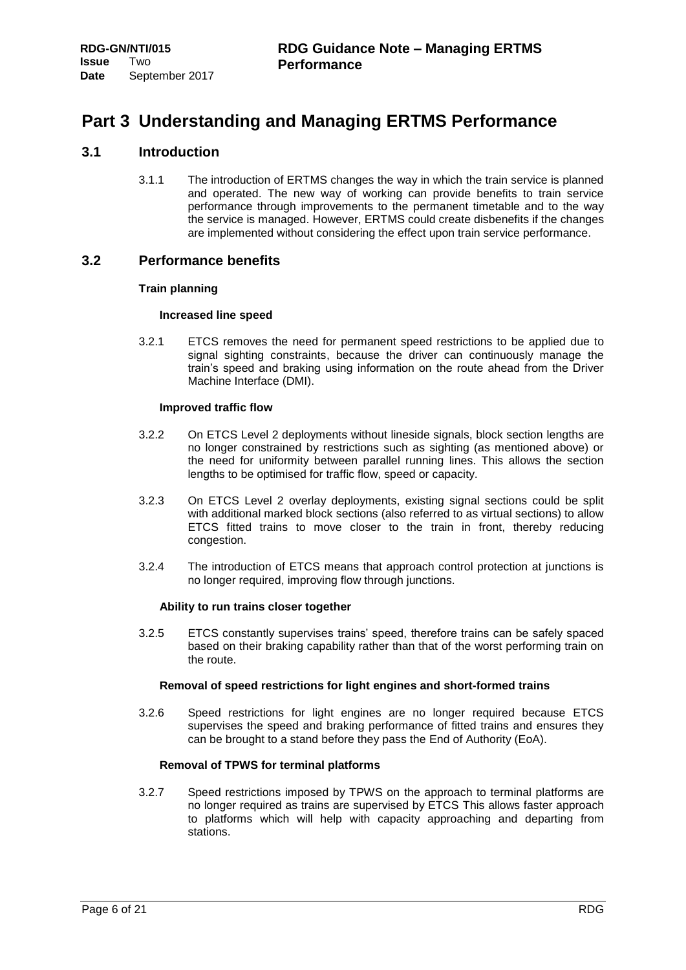## <span id="page-5-0"></span>**Part 3 Understanding and Managing ERTMS Performance**

## <span id="page-5-1"></span>**3.1 Introduction**

3.1.1 The introduction of ERTMS changes the way in which the train service is planned and operated. The new way of working can provide benefits to train service performance through improvements to the permanent timetable and to the way the service is managed. However, ERTMS could create disbenefits if the changes are implemented without considering the effect upon train service performance.

## <span id="page-5-2"></span>**3.2 Performance benefits**

## **Train planning**

#### **Increased line speed**

3.2.1 ETCS removes the need for permanent speed restrictions to be applied due to signal sighting constraints, because the driver can continuously manage the train's speed and braking using information on the route ahead from the Driver Machine Interface (DMI).

#### **Improved traffic flow**

- 3.2.2 On ETCS Level 2 deployments without lineside signals, block section lengths are no longer constrained by restrictions such as sighting (as mentioned above) or the need for uniformity between parallel running lines. This allows the section lengths to be optimised for traffic flow, speed or capacity.
- 3.2.3 On ETCS Level 2 overlay deployments, existing signal sections could be split with additional marked block sections (also referred to as virtual sections) to allow ETCS fitted trains to move closer to the train in front, thereby reducing congestion.
- 3.2.4 The introduction of ETCS means that approach control protection at junctions is no longer required, improving flow through junctions.

#### **Ability to run trains closer together**

3.2.5 ETCS constantly supervises trains' speed, therefore trains can be safely spaced based on their braking capability rather than that of the worst performing train on the route.

#### **Removal of speed restrictions for light engines and short-formed trains**

3.2.6 Speed restrictions for light engines are no longer required because ETCS supervises the speed and braking performance of fitted trains and ensures they can be brought to a stand before they pass the End of Authority (EoA).

## **Removal of TPWS for terminal platforms**

3.2.7 Speed restrictions imposed by TPWS on the approach to terminal platforms are no longer required as trains are supervised by ETCS This allows faster approach to platforms which will help with capacity approaching and departing from stations.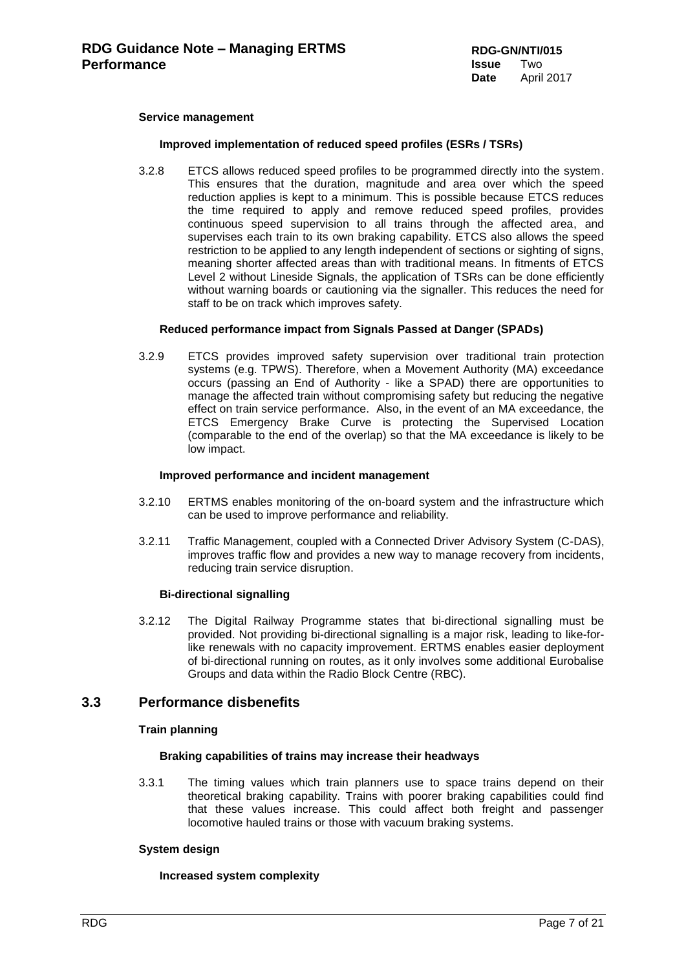#### **Service management**

#### **Improved implementation of reduced speed profiles (ESRs / TSRs)**

3.2.8 ETCS allows reduced speed profiles to be programmed directly into the system. This ensures that the duration, magnitude and area over which the speed reduction applies is kept to a minimum. This is possible because ETCS reduces the time required to apply and remove reduced speed profiles, provides continuous speed supervision to all trains through the affected area, and supervises each train to its own braking capability. ETCS also allows the speed restriction to be applied to any length independent of sections or sighting of signs, meaning shorter affected areas than with traditional means. In fitments of ETCS Level 2 without Lineside Signals, the application of TSRs can be done efficiently without warning boards or cautioning via the signaller. This reduces the need for staff to be on track which improves safety.

#### **Reduced performance impact from Signals Passed at Danger (SPADs)**

3.2.9 ETCS provides improved safety supervision over traditional train protection systems (e.g. TPWS). Therefore, when a Movement Authority (MA) exceedance occurs (passing an End of Authority - like a SPAD) there are opportunities to manage the affected train without compromising safety but reducing the negative effect on train service performance. Also, in the event of an MA exceedance, the ETCS Emergency Brake Curve is protecting the Supervised Location (comparable to the end of the overlap) so that the MA exceedance is likely to be low impact.

#### **Improved performance and incident management**

- 3.2.10 ERTMS enables monitoring of the on-board system and the infrastructure which can be used to improve performance and reliability.
- 3.2.11 Traffic Management, coupled with a Connected Driver Advisory System (C-DAS), improves traffic flow and provides a new way to manage recovery from incidents, reducing train service disruption.

#### **Bi-directional signalling**

3.2.12 The Digital Railway Programme states that bi-directional signalling must be provided. Not providing bi-directional signalling is a major risk, leading to like-forlike renewals with no capacity improvement. ERTMS enables easier deployment of bi-directional running on routes, as it only involves some additional Eurobalise Groups and data within the Radio Block Centre (RBC).

## <span id="page-6-0"></span>**3.3 Performance disbenefits**

#### **Train planning**

#### **Braking capabilities of trains may increase their headways**

3.3.1 The timing values which train planners use to space trains depend on their theoretical braking capability. Trains with poorer braking capabilities could find that these values increase. This could affect both freight and passenger locomotive hauled trains or those with vacuum braking systems.

#### **System design**

#### **Increased system complexity**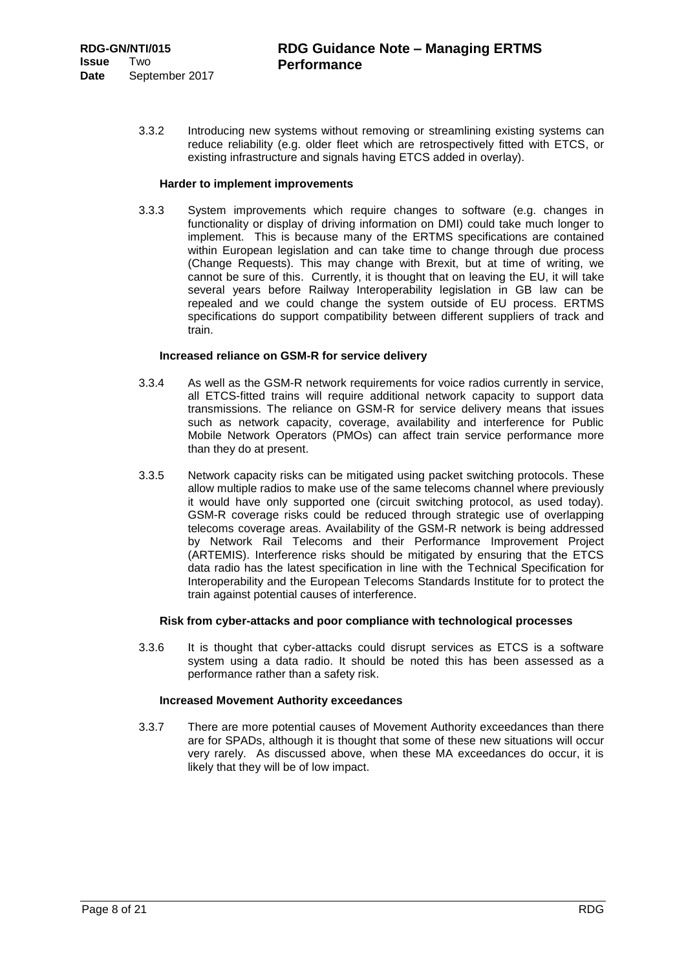3.3.2 Introducing new systems without removing or streamlining existing systems can reduce reliability (e.g. older fleet which are retrospectively fitted with ETCS, or existing infrastructure and signals having ETCS added in overlay).

#### **Harder to implement improvements**

3.3.3 System improvements which require changes to software (e.g. changes in functionality or display of driving information on DMI) could take much longer to implement. This is because many of the ERTMS specifications are contained within European legislation and can take time to change through due process (Change Requests). This may change with Brexit, but at time of writing, we cannot be sure of this. Currently, it is thought that on leaving the EU, it will take several years before Railway Interoperability legislation in GB law can be repealed and we could change the system outside of EU process. ERTMS specifications do support compatibility between different suppliers of track and train.

#### **Increased reliance on GSM-R for service delivery**

- 3.3.4 As well as the GSM-R network requirements for voice radios currently in service, all ETCS-fitted trains will require additional network capacity to support data transmissions. The reliance on GSM-R for service delivery means that issues such as network capacity, coverage, availability and interference for Public Mobile Network Operators (PMOs) can affect train service performance more than they do at present.
- 3.3.5 Network capacity risks can be mitigated using packet switching protocols. These allow multiple radios to make use of the same telecoms channel where previously it would have only supported one (circuit switching protocol, as used today). GSM-R coverage risks could be reduced through strategic use of overlapping telecoms coverage areas. Availability of the GSM-R network is being addressed by Network Rail Telecoms and their Performance Improvement Project (ARTEMIS). Interference risks should be mitigated by ensuring that the ETCS data radio has the latest specification in line with the Technical Specification for Interoperability and the European Telecoms Standards Institute for to protect the train against potential causes of interference.

#### **Risk from cyber-attacks and poor compliance with technological processes**

3.3.6 It is thought that cyber-attacks could disrupt services as ETCS is a software system using a data radio. It should be noted this has been assessed as a performance rather than a safety risk.

#### **Increased Movement Authority exceedances**

3.3.7 There are more potential causes of Movement Authority exceedances than there are for SPADs, although it is thought that some of these new situations will occur very rarely. As discussed above, when these MA exceedances do occur, it is likely that they will be of low impact.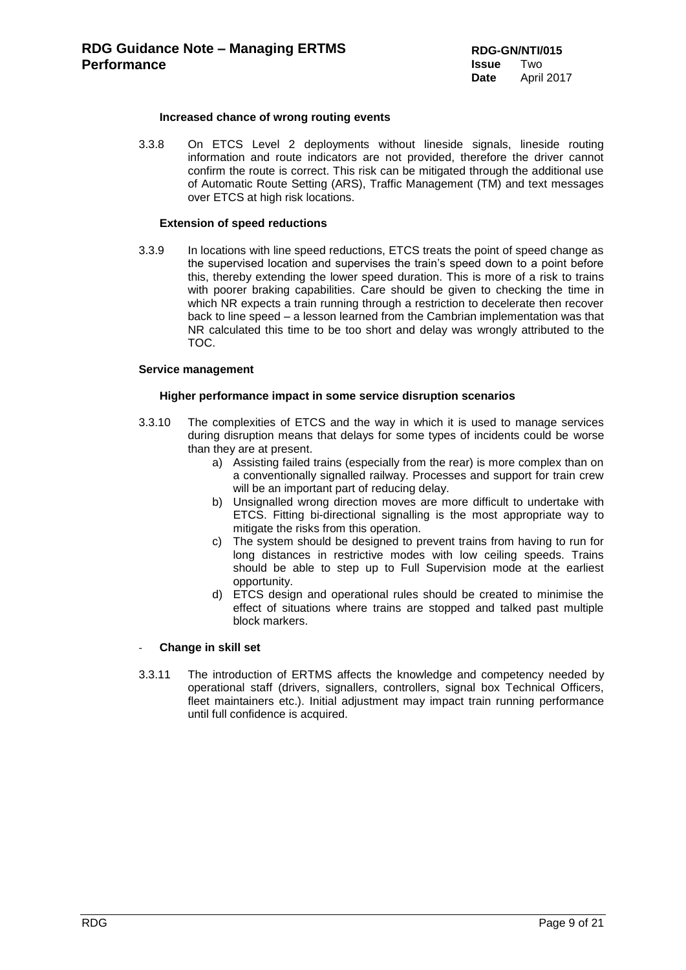#### **Increased chance of wrong routing events**

3.3.8 On ETCS Level 2 deployments without lineside signals, lineside routing information and route indicators are not provided, therefore the driver cannot confirm the route is correct. This risk can be mitigated through the additional use of Automatic Route Setting (ARS), Traffic Management (TM) and text messages over ETCS at high risk locations.

#### **Extension of speed reductions**

3.3.9 In locations with line speed reductions, ETCS treats the point of speed change as the supervised location and supervises the train's speed down to a point before this, thereby extending the lower speed duration. This is more of a risk to trains with poorer braking capabilities. Care should be given to checking the time in which NR expects a train running through a restriction to decelerate then recover back to line speed – a lesson learned from the Cambrian implementation was that NR calculated this time to be too short and delay was wrongly attributed to the TOC.

#### **Service management**

#### **Higher performance impact in some service disruption scenarios**

- 3.3.10 The complexities of ETCS and the way in which it is used to manage services during disruption means that delays for some types of incidents could be worse than they are at present.
	- a) Assisting failed trains (especially from the rear) is more complex than on a conventionally signalled railway. Processes and support for train crew will be an important part of reducing delay.
	- b) Unsignalled wrong direction moves are more difficult to undertake with ETCS. Fitting bi-directional signalling is the most appropriate way to mitigate the risks from this operation.
	- c) The system should be designed to prevent trains from having to run for long distances in restrictive modes with low ceiling speeds. Trains should be able to step up to Full Supervision mode at the earliest opportunity.
	- d) ETCS design and operational rules should be created to minimise the effect of situations where trains are stopped and talked past multiple block markers.

#### - **Change in skill set**

3.3.11 The introduction of ERTMS affects the knowledge and competency needed by operational staff (drivers, signallers, controllers, signal box Technical Officers, fleet maintainers etc.). Initial adjustment may impact train running performance until full confidence is acquired.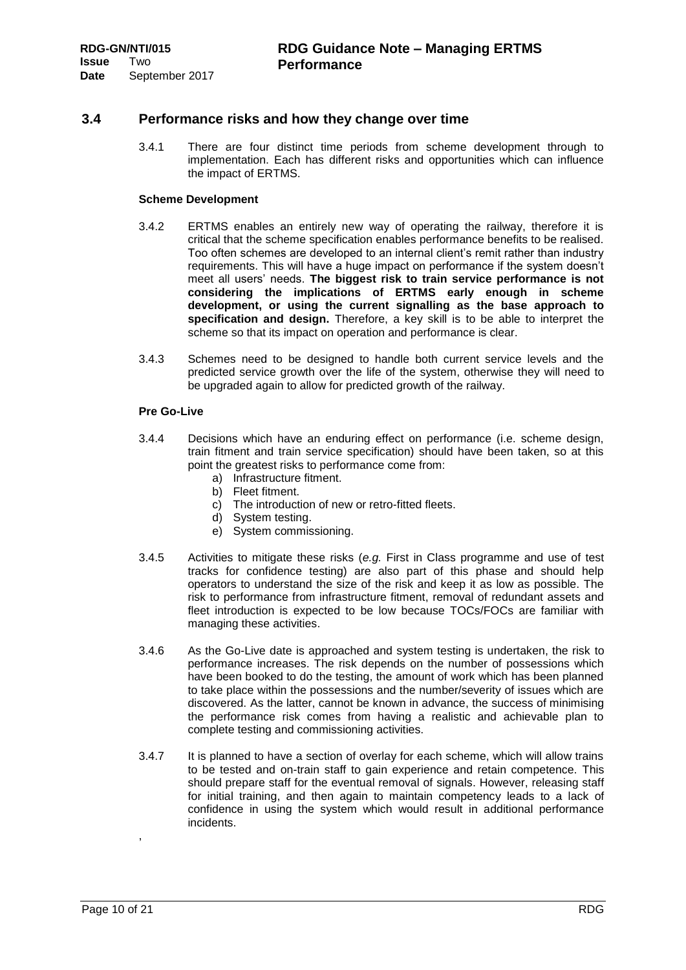## <span id="page-9-0"></span>**3.4 Performance risks and how they change over time**

3.4.1 There are four distinct time periods from scheme development through to implementation. Each has different risks and opportunities which can influence the impact of ERTMS.

#### **Scheme Development**

- 3.4.2 ERTMS enables an entirely new way of operating the railway, therefore it is critical that the scheme specification enables performance benefits to be realised. Too often schemes are developed to an internal client's remit rather than industry requirements. This will have a huge impact on performance if the system doesn't meet all users' needs. **The biggest risk to train service performance is not considering the implications of ERTMS early enough in scheme development, or using the current signalling as the base approach to specification and design.** Therefore, a key skill is to be able to interpret the scheme so that its impact on operation and performance is clear.
- 3.4.3 Schemes need to be designed to handle both current service levels and the predicted service growth over the life of the system, otherwise they will need to be upgraded again to allow for predicted growth of the railway.

#### **Pre Go-Live**

- 3.4.4 Decisions which have an enduring effect on performance (i.e. scheme design, train fitment and train service specification) should have been taken, so at this point the greatest risks to performance come from:
	- a) Infrastructure fitment.
	-
	- b) Fleet fitment.<br>c) The introduct The introduction of new or retro-fitted fleets.
	- d) System testing.
	- e) System commissioning.
- 3.4.5 Activities to mitigate these risks (*e.g.* First in Class programme and use of test tracks for confidence testing) are also part of this phase and should help operators to understand the size of the risk and keep it as low as possible. The risk to performance from infrastructure fitment, removal of redundant assets and fleet introduction is expected to be low because TOCs/FOCs are familiar with managing these activities.
- 3.4.6 As the Go-Live date is approached and system testing is undertaken, the risk to performance increases. The risk depends on the number of possessions which have been booked to do the testing, the amount of work which has been planned to take place within the possessions and the number/severity of issues which are discovered. As the latter, cannot be known in advance, the success of minimising the performance risk comes from having a realistic and achievable plan to complete testing and commissioning activities.
- 3.4.7 It is planned to have a section of overlay for each scheme, which will allow trains to be tested and on-train staff to gain experience and retain competence. This should prepare staff for the eventual removal of signals. However, releasing staff for initial training, and then again to maintain competency leads to a lack of confidence in using the system which would result in additional performance incidents.

,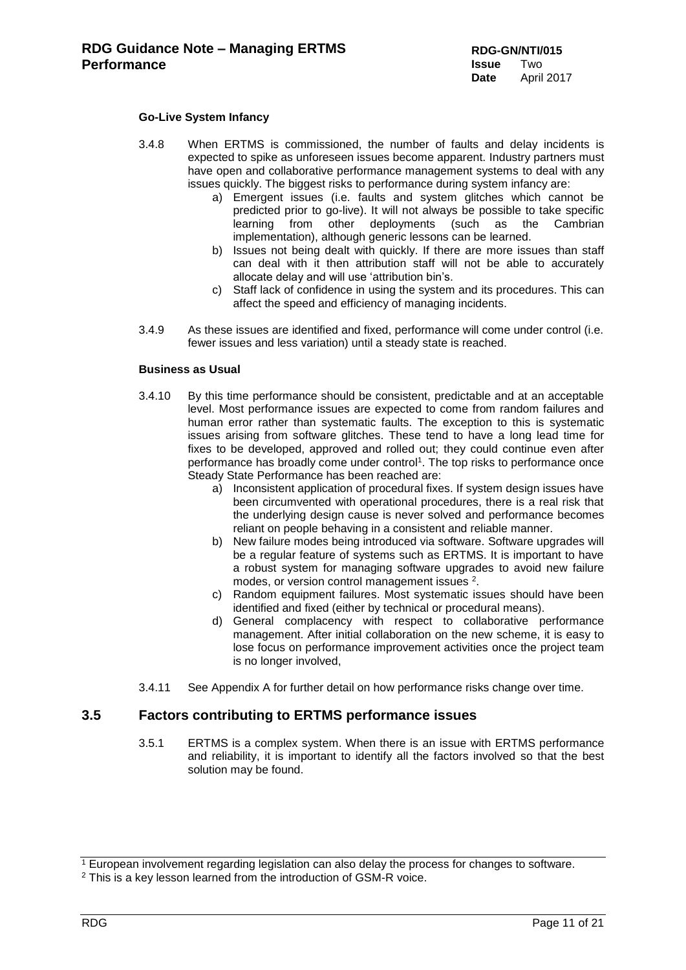### **Go-Live System Infancy**

- 3.4.8 When ERTMS is commissioned, the number of faults and delay incidents is expected to spike as unforeseen issues become apparent. Industry partners must have open and collaborative performance management systems to deal with any issues quickly. The biggest risks to performance during system infancy are:
	- a) Emergent issues (i.e. faults and system glitches which cannot be predicted prior to go-live). It will not always be possible to take specific learning from other deployments (such as the Cambrian implementation), although generic lessons can be learned.
	- b) Issues not being dealt with quickly. If there are more issues than staff can deal with it then attribution staff will not be able to accurately allocate delay and will use 'attribution bin's.
	- c) Staff lack of confidence in using the system and its procedures. This can affect the speed and efficiency of managing incidents.
- 3.4.9 As these issues are identified and fixed, performance will come under control (i.e. fewer issues and less variation) until a steady state is reached.

#### **Business as Usual**

- 3.4.10 By this time performance should be consistent, predictable and at an acceptable level. Most performance issues are expected to come from random failures and human error rather than systematic faults. The exception to this is systematic issues arising from software glitches. These tend to have a long lead time for fixes to be developed, approved and rolled out; they could continue even after performance has broadly come under control<sup>1</sup>. The top risks to performance once Steady State Performance has been reached are:
	- a) Inconsistent application of procedural fixes. If system design issues have been circumvented with operational procedures, there is a real risk that the underlying design cause is never solved and performance becomes reliant on people behaving in a consistent and reliable manner.
	- b) New failure modes being introduced via software. Software upgrades will be a regular feature of systems such as ERTMS. It is important to have a robust system for managing software upgrades to avoid new failure modes, or version control management issues <sup>2</sup>.
	- c) Random equipment failures. Most systematic issues should have been identified and fixed (either by technical or procedural means).
	- d) General complacency with respect to collaborative performance management. After initial collaboration on the new scheme, it is easy to lose focus on performance improvement activities once the project team is no longer involved,
- 3.4.11 See Appendix A for further detail on how performance risks change over time.

## <span id="page-10-0"></span>**3.5 Factors contributing to ERTMS performance issues**

3.5.1 ERTMS is a complex system. When there is an issue with ERTMS performance and reliability, it is important to identify all the factors involved so that the best solution may be found.

 $1$  European involvement regarding legislation can also delay the process for changes to software.

<sup>&</sup>lt;sup>2</sup> This is a key lesson learned from the introduction of GSM-R voice.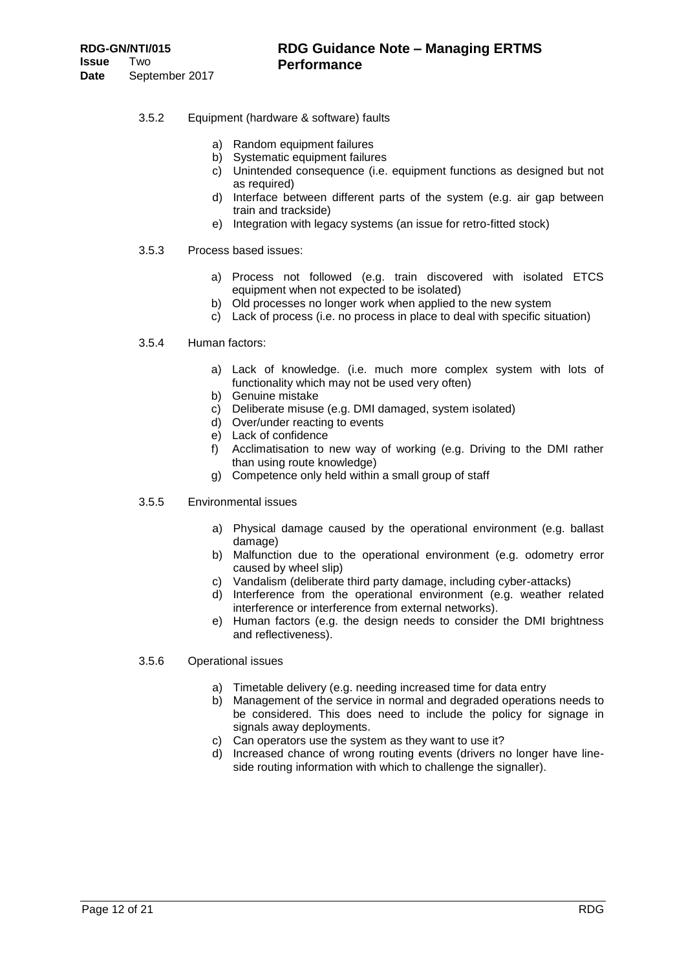- 3.5.2 Equipment (hardware & software) faults
	- a) Random equipment failures
	- b) Systematic equipment failures
	- c) Unintended consequence (i.e. equipment functions as designed but not as required)
	- d) Interface between different parts of the system (e.g. air gap between train and trackside)
	- e) Integration with legacy systems (an issue for retro-fitted stock)
- 3.5.3 Process based issues:
	- a) Process not followed (e.g. train discovered with isolated ETCS equipment when not expected to be isolated)
	- b) Old processes no longer work when applied to the new system
	- c) Lack of process (i.e. no process in place to deal with specific situation)
- 3.5.4 Human factors:
	- a) Lack of knowledge. (i.e. much more complex system with lots of functionality which may not be used very often)
	- b) Genuine mistake
	- c) Deliberate misuse (e.g. DMI damaged, system isolated)
	- d) Over/under reacting to events
	- e) Lack of confidence
	- f) Acclimatisation to new way of working (e.g. Driving to the DMI rather than using route knowledge)
	- g) Competence only held within a small group of staff
- 3.5.5 Environmental issues
	- a) Physical damage caused by the operational environment (e.g. ballast damage)
	- b) Malfunction due to the operational environment (e.g. odometry error caused by wheel slip)
	- c) Vandalism (deliberate third party damage, including cyber-attacks)
	- d) Interference from the operational environment (e.g. weather related interference or interference from external networks).
	- e) Human factors (e.g. the design needs to consider the DMI brightness and reflectiveness).

#### 3.5.6 Operational issues

- a) Timetable delivery (e.g. needing increased time for data entry
- b) Management of the service in normal and degraded operations needs to be considered. This does need to include the policy for signage in signals away deployments.
- c) Can operators use the system as they want to use it?
- d) Increased chance of wrong routing events (drivers no longer have lineside routing information with which to challenge the signaller).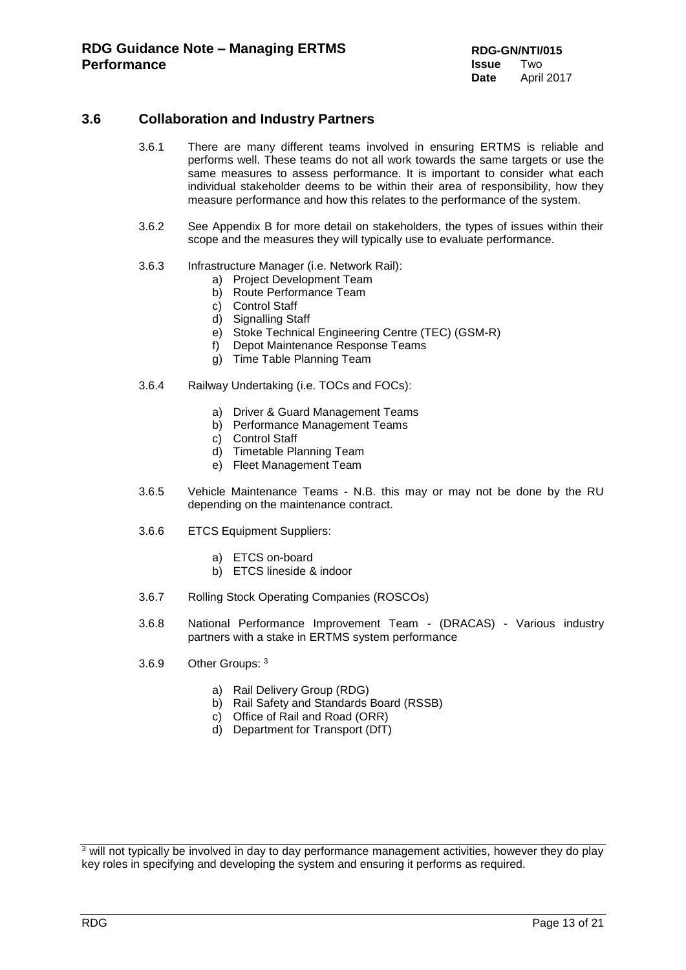## <span id="page-12-0"></span>**3.6 Collaboration and Industry Partners**

- 3.6.1 There are many different teams involved in ensuring ERTMS is reliable and performs well. These teams do not all work towards the same targets or use the same measures to assess performance. It is important to consider what each individual stakeholder deems to be within their area of responsibility, how they measure performance and how this relates to the performance of the system.
- 3.6.2 See Appendix B for more detail on stakeholders, the types of issues within their scope and the measures they will typically use to evaluate performance.
- 3.6.3 Infrastructure Manager (i.e. Network Rail):
	- a) Project Development Team
	- b) Route Performance Team
	- c) Control Staff
	- d) Signalling Staff
	- e) Stoke Technical Engineering Centre (TEC) (GSM-R)
	- f) Depot Maintenance Response Teams
	- g) Time Table Planning Team
- 3.6.4 Railway Undertaking (i.e. TOCs and FOCs):
	- a) Driver & Guard Management Teams
	- b) Performance Management Teams
	- c) Control Staff
	- d) Timetable Planning Team
	- e) Fleet Management Team
- 3.6.5 Vehicle Maintenance Teams N.B. this may or may not be done by the RU depending on the maintenance contract.
- 3.6.6 ETCS Equipment Suppliers:
	- a) ETCS on-board
	- b) ETCS lineside & indoor
- 3.6.7 Rolling Stock Operating Companies (ROSCOs)
- 3.6.8 National Performance Improvement Team (DRACAS) Various industry partners with a stake in ERTMS system performance
- 3.6.9 Other Groups: 3
	- a) Rail Delivery Group (RDG)
	- b) Rail Safety and Standards Board (RSSB)
	- c) Office of Rail and Road (ORR)
	- d) Department for Transport (DfT)

 $\frac{3}{3}$  will not typically be involved in day to day performance management activities, however they do play key roles in specifying and developing the system and ensuring it performs as required.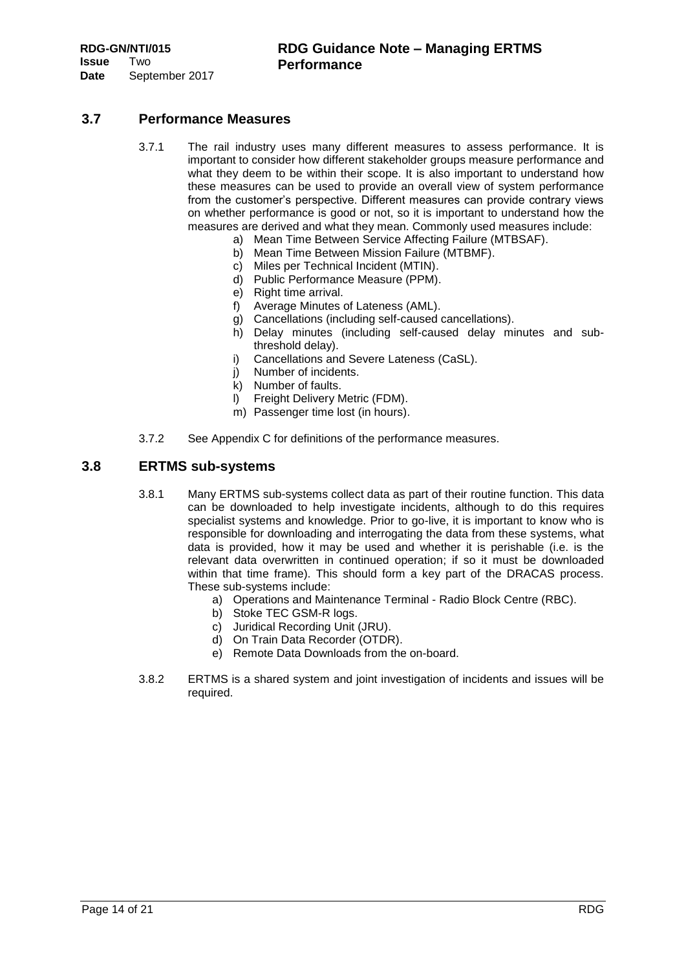## <span id="page-13-0"></span>**3.7 Performance Measures**

- 3.7.1 The rail industry uses many different measures to assess performance. It is important to consider how different stakeholder groups measure performance and what they deem to be within their scope. It is also important to understand how these measures can be used to provide an overall view of system performance from the customer's perspective. Different measures can provide contrary views on whether performance is good or not, so it is important to understand how the measures are derived and what they mean. Commonly used measures include:
	- a) Mean Time Between Service Affecting Failure (MTBSAF).
	- b) Mean Time Between Mission Failure (MTBMF).
	- c) Miles per Technical Incident (MTIN).
	- d) Public Performance Measure (PPM).
	- e) Right time arrival.
	- f) Average Minutes of Lateness (AML).
	- g) Cancellations (including self-caused cancellations).
	- h) Delay minutes (including self-caused delay minutes and subthreshold delay).
	- i) Cancellations and Severe Lateness (CaSL).
	- j) Number of incidents.
	- k) Number of faults.
	- l) Freight Delivery Metric (FDM).
	- m) Passenger time lost (in hours).
- 3.7.2 See Appendix C for definitions of the performance measures.

## <span id="page-13-1"></span>**3.8 ERTMS sub-systems**

- 3.8.1 Many ERTMS sub-systems collect data as part of their routine function. This data can be downloaded to help investigate incidents, although to do this requires specialist systems and knowledge. Prior to go-live, it is important to know who is responsible for downloading and interrogating the data from these systems, what data is provided, how it may be used and whether it is perishable (i.e. is the relevant data overwritten in continued operation; if so it must be downloaded within that time frame). This should form a key part of the DRACAS process. These sub-systems include:
	- a) Operations and Maintenance Terminal Radio Block Centre (RBC).
	- b) Stoke TEC GSM-R logs.
	- c) Juridical Recording Unit (JRU).
	- d) On Train Data Recorder (OTDR).
	- e) Remote Data Downloads from the on-board.
- 3.8.2 ERTMS is a shared system and joint investigation of incidents and issues will be required.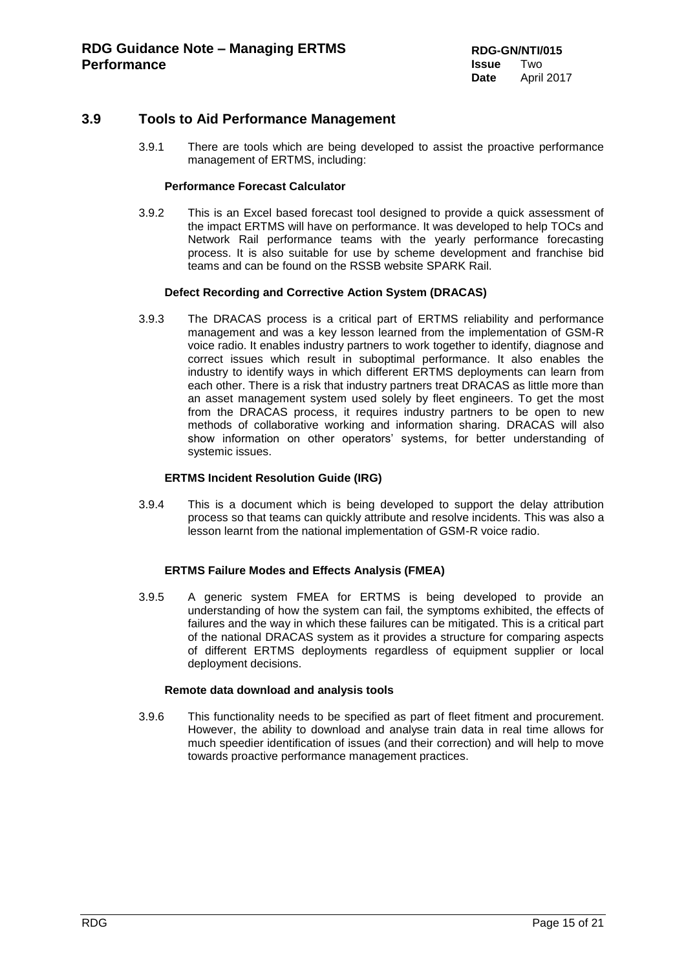## <span id="page-14-0"></span>**3.9 Tools to Aid Performance Management**

3.9.1 There are tools which are being developed to assist the proactive performance management of ERTMS, including:

#### **Performance Forecast Calculator**

3.9.2 This is an Excel based forecast tool designed to provide a quick assessment of the impact ERTMS will have on performance. It was developed to help TOCs and Network Rail performance teams with the yearly performance forecasting process. It is also suitable for use by scheme development and franchise bid teams and can be found on the RSSB website SPARK Rail.

## **Defect Recording and Corrective Action System (DRACAS)**

3.9.3 The DRACAS process is a critical part of ERTMS reliability and performance management and was a key lesson learned from the implementation of GSM-R voice radio. It enables industry partners to work together to identify, diagnose and correct issues which result in suboptimal performance. It also enables the industry to identify ways in which different ERTMS deployments can learn from each other. There is a risk that industry partners treat DRACAS as little more than an asset management system used solely by fleet engineers. To get the most from the DRACAS process, it requires industry partners to be open to new methods of collaborative working and information sharing. DRACAS will also show information on other operators' systems, for better understanding of systemic issues.

#### **ERTMS Incident Resolution Guide (IRG)**

3.9.4 This is a document which is being developed to support the delay attribution process so that teams can quickly attribute and resolve incidents. This was also a lesson learnt from the national implementation of GSM-R voice radio.

## **ERTMS Failure Modes and Effects Analysis (FMEA)**

3.9.5 A generic system FMEA for ERTMS is being developed to provide an understanding of how the system can fail, the symptoms exhibited, the effects of failures and the way in which these failures can be mitigated. This is a critical part of the national DRACAS system as it provides a structure for comparing aspects of different ERTMS deployments regardless of equipment supplier or local deployment decisions.

#### **Remote data download and analysis tools**

3.9.6 This functionality needs to be specified as part of fleet fitment and procurement. However, the ability to download and analyse train data in real time allows for much speedier identification of issues (and their correction) and will help to move towards proactive performance management practices.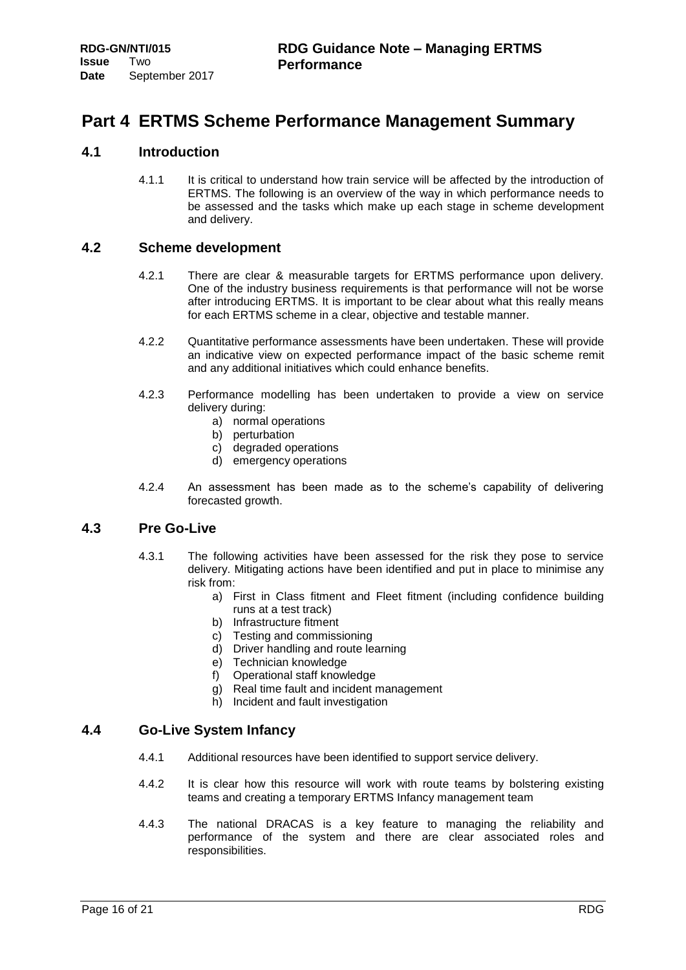## <span id="page-15-0"></span>**Part 4 ERTMS Scheme Performance Management Summary**

## <span id="page-15-1"></span>**4.1 Introduction**

4.1.1 It is critical to understand how train service will be affected by the introduction of ERTMS. The following is an overview of the way in which performance needs to be assessed and the tasks which make up each stage in scheme development and delivery.

## <span id="page-15-2"></span>**4.2 Scheme development**

- 4.2.1 There are clear & measurable targets for ERTMS performance upon delivery. One of the industry business requirements is that performance will not be worse after introducing ERTMS. It is important to be clear about what this really means for each ERTMS scheme in a clear, objective and testable manner.
- 4.2.2 Quantitative performance assessments have been undertaken. These will provide an indicative view on expected performance impact of the basic scheme remit and any additional initiatives which could enhance benefits.
- 4.2.3 Performance modelling has been undertaken to provide a view on service delivery during:
	- a) normal operations
	- b) perturbation
	- c) degraded operations
	- d) emergency operations
- 4.2.4 An assessment has been made as to the scheme's capability of delivering forecasted growth.

## <span id="page-15-3"></span>**4.3 Pre Go-Live**

- 4.3.1 The following activities have been assessed for the risk they pose to service delivery. Mitigating actions have been identified and put in place to minimise any risk from:
	- a) First in Class fitment and Fleet fitment (including confidence building runs at a test track)
	- b) Infrastructure fitment
	- c) Testing and commissioning
	- d) Driver handling and route learning
	- e) Technician knowledge
	- f) Operational staff knowledge
	- g) Real time fault and incident management
	- h) Incident and fault investigation

## <span id="page-15-4"></span>**4.4 Go-Live System Infancy**

- 4.4.1 Additional resources have been identified to support service delivery.
- 4.4.2 It is clear how this resource will work with route teams by bolstering existing teams and creating a temporary ERTMS Infancy management team
- 4.4.3 The national DRACAS is a key feature to managing the reliability and performance of the system and there are clear associated roles and responsibilities.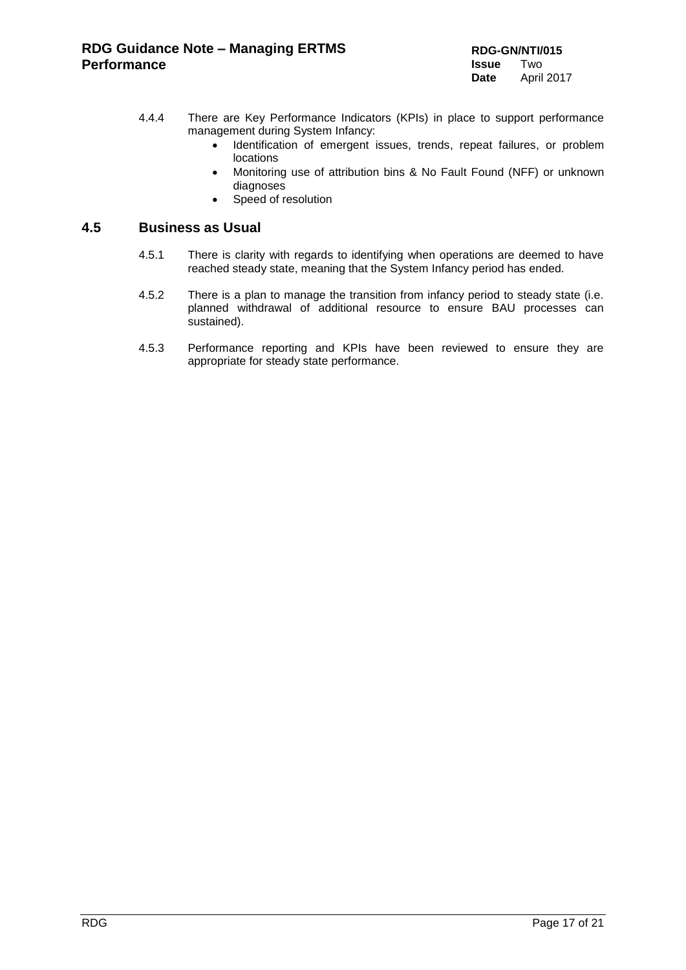- 4.4.4 There are Key Performance Indicators (KPIs) in place to support performance management during System Infancy:
	- Identification of emergent issues, trends, repeat failures, or problem locations
	- Monitoring use of attribution bins & No Fault Found (NFF) or unknown diagnoses
	- Speed of resolution

## <span id="page-16-0"></span>**4.5 Business as Usual**

- 4.5.1 There is clarity with regards to identifying when operations are deemed to have reached steady state, meaning that the System Infancy period has ended.
- 4.5.2 There is a plan to manage the transition from infancy period to steady state (i.e. planned withdrawal of additional resource to ensure BAU processes can sustained).
- 4.5.3 Performance reporting and KPIs have been reviewed to ensure they are appropriate for steady state performance.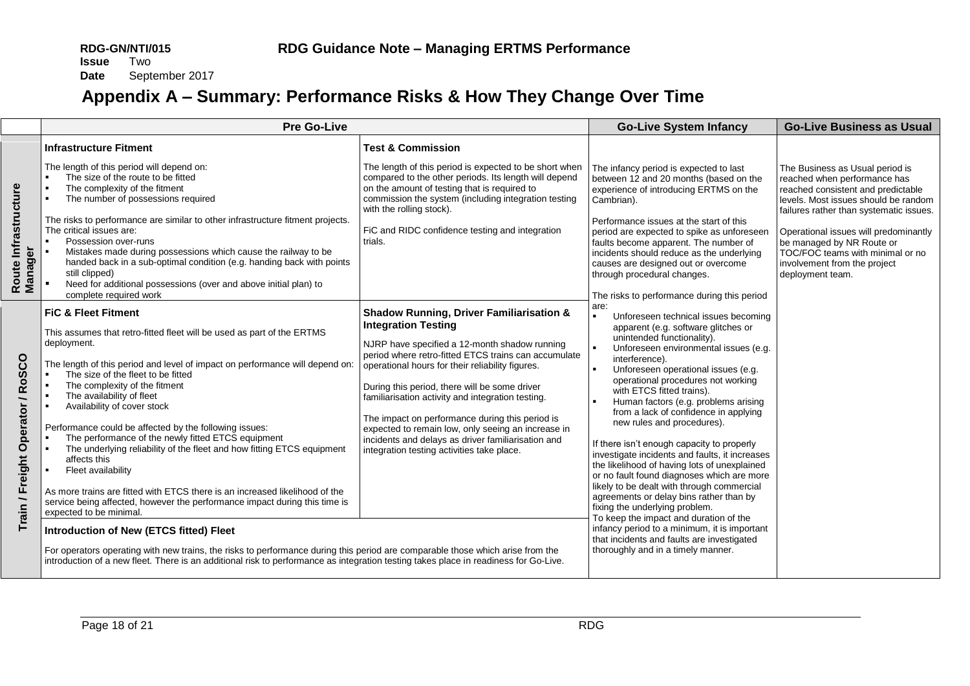September 2017

# **Appendix A – Summary: Performance Risks & How They Change Over Time**

<span id="page-17-0"></span>

|                                  | <b>Pre Go-Live</b>                                                                                                                                                                                                                                                                                                                                                                                                                                                                                                                                                                                                                                                                                                                                                                                                                                                                                                                                                                                                                                                                      |                                                                                                                                                                                                                                                                                                                                                                                                                                                                                                                                                                   | <b>Go-Live System Infancy</b>                                                                                                                                                                                                                                                                                                                                                                                                                                                                                                                                                                                                                                                                                                                                                                                                                                                                                | <b>Go-Live Business as Usual</b>                                                                                                                                                                                                                                                                                                                       |
|----------------------------------|-----------------------------------------------------------------------------------------------------------------------------------------------------------------------------------------------------------------------------------------------------------------------------------------------------------------------------------------------------------------------------------------------------------------------------------------------------------------------------------------------------------------------------------------------------------------------------------------------------------------------------------------------------------------------------------------------------------------------------------------------------------------------------------------------------------------------------------------------------------------------------------------------------------------------------------------------------------------------------------------------------------------------------------------------------------------------------------------|-------------------------------------------------------------------------------------------------------------------------------------------------------------------------------------------------------------------------------------------------------------------------------------------------------------------------------------------------------------------------------------------------------------------------------------------------------------------------------------------------------------------------------------------------------------------|--------------------------------------------------------------------------------------------------------------------------------------------------------------------------------------------------------------------------------------------------------------------------------------------------------------------------------------------------------------------------------------------------------------------------------------------------------------------------------------------------------------------------------------------------------------------------------------------------------------------------------------------------------------------------------------------------------------------------------------------------------------------------------------------------------------------------------------------------------------------------------------------------------------|--------------------------------------------------------------------------------------------------------------------------------------------------------------------------------------------------------------------------------------------------------------------------------------------------------------------------------------------------------|
|                                  | <b>Infrastructure Fitment</b>                                                                                                                                                                                                                                                                                                                                                                                                                                                                                                                                                                                                                                                                                                                                                                                                                                                                                                                                                                                                                                                           | <b>Test &amp; Commission</b>                                                                                                                                                                                                                                                                                                                                                                                                                                                                                                                                      |                                                                                                                                                                                                                                                                                                                                                                                                                                                                                                                                                                                                                                                                                                                                                                                                                                                                                                              |                                                                                                                                                                                                                                                                                                                                                        |
| Route Infrastructure<br>Manager  | The length of this period will depend on:<br>The size of the route to be fitted<br>The complexity of the fitment<br>The number of possessions required<br>The risks to performance are similar to other infrastructure fitment projects.<br>The critical issues are:<br>Possession over-runs<br>Mistakes made during possessions which cause the railway to be<br>handed back in a sub-optimal condition (e.g. handing back with points<br>still clipped)                                                                                                                                                                                                                                                                                                                                                                                                                                                                                                                                                                                                                               | The length of this period is expected to be short when<br>compared to the other periods. Its length will depend<br>on the amount of testing that is required to<br>commission the system (including integration testing<br>with the rolling stock).<br>FiC and RIDC confidence testing and integration<br>trials.                                                                                                                                                                                                                                                 | The infancy period is expected to last<br>between 12 and 20 months (based on the<br>experience of introducing ERTMS on the<br>Cambrian).<br>Performance issues at the start of this<br>period are expected to spike as unforeseen<br>faults become apparent. The number of<br>incidents should reduce as the underlying<br>causes are designed out or overcome<br>through procedural changes.                                                                                                                                                                                                                                                                                                                                                                                                                                                                                                                | The Business as Usual period is<br>reached when performance has<br>reached consistent and predictable<br>levels. Most issues should be random<br>failures rather than systematic issues.<br>Operational issues will predominantly<br>be managed by NR Route or<br>TOC/FOC teams with minimal or no<br>involvement from the project<br>deployment team. |
|                                  | Need for additional possessions (over and above initial plan) to<br>complete required work                                                                                                                                                                                                                                                                                                                                                                                                                                                                                                                                                                                                                                                                                                                                                                                                                                                                                                                                                                                              |                                                                                                                                                                                                                                                                                                                                                                                                                                                                                                                                                                   | The risks to performance during this period                                                                                                                                                                                                                                                                                                                                                                                                                                                                                                                                                                                                                                                                                                                                                                                                                                                                  |                                                                                                                                                                                                                                                                                                                                                        |
| Train / Freight Operator / RoSCO | <b>FiC &amp; Fleet Fitment</b><br>This assumes that retro-fitted fleet will be used as part of the ERTMS<br>deployment.<br>The length of this period and level of impact on performance will depend on:<br>The size of the fleet to be fitted<br>The complexity of the fitment<br>The availability of fleet<br>Availability of cover stock<br>Performance could be affected by the following issues:<br>The performance of the newly fitted ETCS equipment<br>The underlying reliability of the fleet and how fitting ETCS equipment<br>affects this<br>Fleet availability<br>As more trains are fitted with ETCS there is an increased likelihood of the<br>service being affected, however the performance impact during this time is<br>expected to be minimal.<br>Introduction of New (ETCS fitted) Fleet<br>For operators operating with new trains, the risks to performance during this period are comparable those which arise from the<br>introduction of a new fleet. There is an additional risk to performance as integration testing takes place in readiness for Go-Live. | <b>Shadow Running, Driver Familiarisation &amp;</b><br><b>Integration Testing</b><br>NJRP have specified a 12-month shadow running<br>period where retro-fitted ETCS trains can accumulate<br>operational hours for their reliability figures.<br>During this period, there will be some driver<br>familiarisation activity and integration testing.<br>The impact on performance during this period is<br>expected to remain low, only seeing an increase in<br>incidents and delays as driver familiarisation and<br>integration testing activities take place. | are:<br>Unforeseen technical issues becoming<br>apparent (e.g. software glitches or<br>unintended functionality).<br>Unforeseen environmental issues (e.g.<br>interference).<br>Unforeseen operational issues (e.g.<br>operational procedures not working<br>with ETCS fitted trains).<br>Human factors (e.g. problems arising<br>from a lack of confidence in applying<br>new rules and procedures).<br>If there isn't enough capacity to properly<br>investigate incidents and faults, it increases<br>the likelihood of having lots of unexplained<br>or no fault found diagnoses which are more<br>likely to be dealt with through commercial<br>agreements or delay bins rather than by<br>fixing the underlying problem.<br>To keep the impact and duration of the<br>infancy period to a minimum, it is important<br>that incidents and faults are investigated<br>thoroughly and in a timely manner. |                                                                                                                                                                                                                                                                                                                                                        |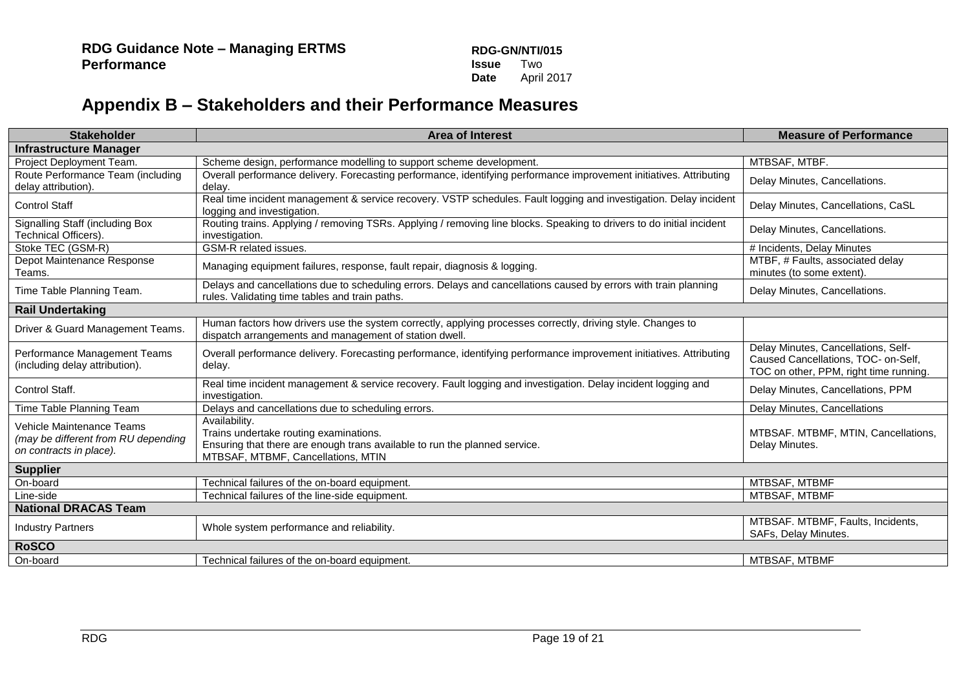# **Appendix B – Stakeholders and their Performance Measures**

<span id="page-18-0"></span>

| <b>Stakeholder</b>                                                                          | <b>Area of Interest</b>                                                                                                                                                     | <b>Measure of Performance</b>                                                                                        |  |  |
|---------------------------------------------------------------------------------------------|-----------------------------------------------------------------------------------------------------------------------------------------------------------------------------|----------------------------------------------------------------------------------------------------------------------|--|--|
| <b>Infrastructure Manager</b>                                                               |                                                                                                                                                                             |                                                                                                                      |  |  |
| Project Deployment Team.                                                                    | Scheme design, performance modelling to support scheme development.                                                                                                         | MTBSAF, MTBF.                                                                                                        |  |  |
| Route Performance Team (including<br>delay attribution).                                    | Overall performance delivery. Forecasting performance, identifying performance improvement initiatives. Attributing<br>delav.                                               | Delay Minutes, Cancellations.                                                                                        |  |  |
| <b>Control Staff</b>                                                                        | Real time incident management & service recovery. VSTP schedules. Fault logging and investigation. Delay incident<br>logging and investigation.                             | Delay Minutes, Cancellations, CaSL                                                                                   |  |  |
| Signalling Staff (including Box<br>Technical Officers).                                     | Routing trains. Applying / removing TSRs. Applying / removing line blocks. Speaking to drivers to do initial incident<br>investigation.                                     | Delay Minutes, Cancellations.                                                                                        |  |  |
| Stoke TEC (GSM-R)                                                                           | GSM-R related issues.                                                                                                                                                       | # Incidents, Delay Minutes                                                                                           |  |  |
| Depot Maintenance Response<br>Teams.                                                        | Managing equipment failures, response, fault repair, diagnosis & logging.                                                                                                   | MTBF, # Faults, associated delay<br>minutes (to some extent).                                                        |  |  |
| Time Table Planning Team.                                                                   | Delays and cancellations due to scheduling errors. Delays and cancellations caused by errors with train planning<br>rules. Validating time tables and train paths.          | Delay Minutes, Cancellations.                                                                                        |  |  |
| <b>Rail Undertaking</b>                                                                     |                                                                                                                                                                             |                                                                                                                      |  |  |
| Driver & Guard Management Teams.                                                            | Human factors how drivers use the system correctly, applying processes correctly, driving style. Changes to<br>dispatch arrangements and management of station dwell.       |                                                                                                                      |  |  |
| Performance Management Teams<br>(including delay attribution).                              | Overall performance delivery. Forecasting performance, identifying performance improvement initiatives. Attributing<br>delay.                                               | Delay Minutes, Cancellations, Self-<br>Caused Cancellations, TOC- on-Self,<br>TOC on other, PPM, right time running. |  |  |
| Control Staff.                                                                              | Real time incident management & service recovery. Fault logging and investigation. Delay incident logging and<br>investigation.                                             | Delay Minutes, Cancellations, PPM                                                                                    |  |  |
| Time Table Planning Team                                                                    | Delays and cancellations due to scheduling errors.                                                                                                                          | Delay Minutes, Cancellations                                                                                         |  |  |
| Vehicle Maintenance Teams<br>(may be different from RU depending<br>on contracts in place). | Availability.<br>Trains undertake routing examinations.<br>Ensuring that there are enough trans available to run the planned service.<br>MTBSAF, MTBMF, Cancellations, MTIN | MTBSAF. MTBMF, MTIN, Cancellations,<br>Delay Minutes.                                                                |  |  |
| <b>Supplier</b>                                                                             |                                                                                                                                                                             |                                                                                                                      |  |  |
| On-board                                                                                    | Technical failures of the on-board equipment.                                                                                                                               | MTBSAF, MTBMF                                                                                                        |  |  |
| Line-side                                                                                   | Technical failures of the line-side equipment.                                                                                                                              | MTBSAF, MTBMF                                                                                                        |  |  |
| <b>National DRACAS Team</b>                                                                 |                                                                                                                                                                             |                                                                                                                      |  |  |
| <b>Industry Partners</b>                                                                    | Whole system performance and reliability.                                                                                                                                   | MTBSAF. MTBMF, Faults, Incidents,<br>SAFs, Delay Minutes.                                                            |  |  |
| <b>RoSCO</b>                                                                                |                                                                                                                                                                             |                                                                                                                      |  |  |
| On-board                                                                                    | Technical failures of the on-board equipment.                                                                                                                               | MTBSAF, MTBMF                                                                                                        |  |  |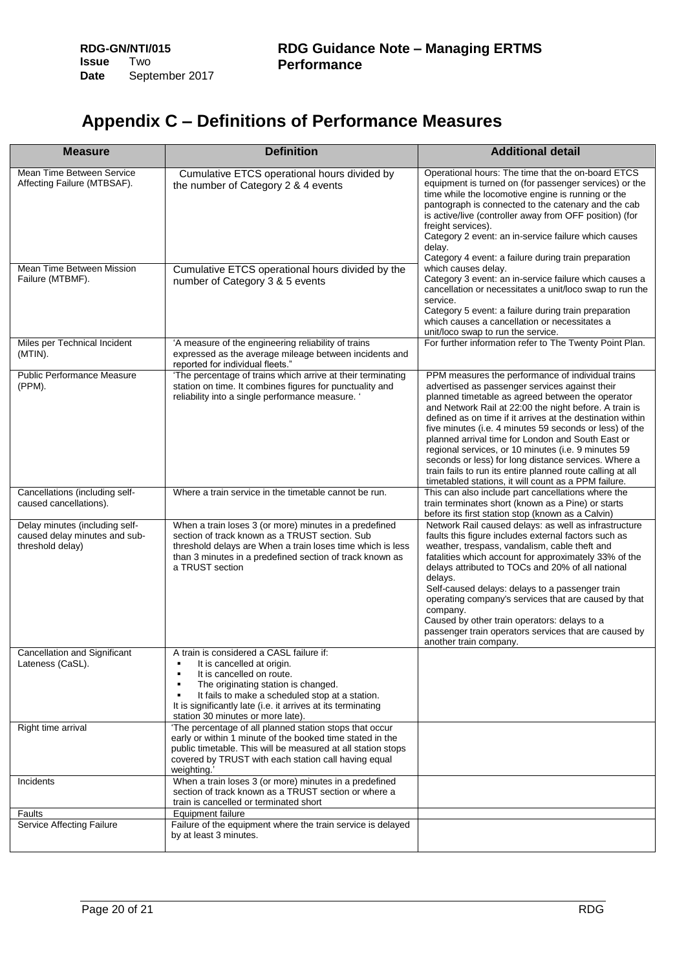# <span id="page-19-0"></span>**Appendix C – Definitions of Performance Measures**

| <b>Measure</b>                                                                      | <b>Definition</b>                                                                                                                                                                                                                                                                                                      | <b>Additional detail</b>                                                                                                                                                                                                                                                                                                                                                                                                                                                                                                                                                                                                             |
|-------------------------------------------------------------------------------------|------------------------------------------------------------------------------------------------------------------------------------------------------------------------------------------------------------------------------------------------------------------------------------------------------------------------|--------------------------------------------------------------------------------------------------------------------------------------------------------------------------------------------------------------------------------------------------------------------------------------------------------------------------------------------------------------------------------------------------------------------------------------------------------------------------------------------------------------------------------------------------------------------------------------------------------------------------------------|
| Mean Time Between Service<br>Affecting Failure (MTBSAF).                            | Cumulative ETCS operational hours divided by<br>the number of Category 2 & 4 events                                                                                                                                                                                                                                    | Operational hours: The time that the on-board ETCS<br>equipment is turned on (for passenger services) or the<br>time while the locomotive engine is running or the<br>pantograph is connected to the catenary and the cab<br>is active/live (controller away from OFF position) (for<br>freight services).<br>Category 2 event: an in-service failure which causes<br>delay.<br>Category 4 event: a failure during train preparation                                                                                                                                                                                                 |
| Mean Time Between Mission<br>Failure (MTBMF).                                       | Cumulative ETCS operational hours divided by the<br>number of Category 3 & 5 events                                                                                                                                                                                                                                    | which causes delay.<br>Category 3 event: an in-service failure which causes a<br>cancellation or necessitates a unit/loco swap to run the<br>service.<br>Category 5 event: a failure during train preparation<br>which causes a cancellation or necessitates a<br>unit/loco swap to run the service.                                                                                                                                                                                                                                                                                                                                 |
| Miles per Technical Incident<br>(MTIN).                                             | 'A measure of the engineering reliability of trains<br>expressed as the average mileage between incidents and<br>reported for individual fleets."                                                                                                                                                                      | For further information refer to The Twenty Point Plan.                                                                                                                                                                                                                                                                                                                                                                                                                                                                                                                                                                              |
| <b>Public Performance Measure</b><br>(PPM).                                         | 'The percentage of trains which arrive at their terminating<br>station on time. It combines figures for punctuality and<br>reliability into a single performance measure. '                                                                                                                                            | PPM measures the performance of individual trains<br>advertised as passenger services against their<br>planned timetable as agreed between the operator<br>and Network Rail at 22:00 the night before. A train is<br>defined as on time if it arrives at the destination within<br>five minutes (i.e. 4 minutes 59 seconds or less) of the<br>planned arrival time for London and South East or<br>regional services, or 10 minutes (i.e. 9 minutes 59<br>seconds or less) for long distance services. Where a<br>train fails to run its entire planned route calling at all<br>timetabled stations, it will count as a PPM failure. |
| Cancellations (including self-<br>caused cancellations).                            | Where a train service in the timetable cannot be run.                                                                                                                                                                                                                                                                  | This can also include part cancellations where the<br>train terminates short (known as a Pine) or starts<br>before its first station stop (known as a Calvin)                                                                                                                                                                                                                                                                                                                                                                                                                                                                        |
| Delay minutes (including self-<br>caused delay minutes and sub-<br>threshold delay) | When a train loses 3 (or more) minutes in a predefined<br>section of track known as a TRUST section. Sub<br>threshold delays are When a train loses time which is less<br>than 3 minutes in a predefined section of track known as<br>a TRUST section                                                                  | Network Rail caused delays: as well as infrastructure<br>faults this figure includes external factors such as<br>weather, trespass, vandalism, cable theft and<br>fatalities which account for approximately 33% of the<br>delays attributed to TOCs and 20% of all national<br>delays.<br>Self-caused delays: delays to a passenger train<br>operating company's services that are caused by that<br>company.<br>Caused by other train operators: delays to a<br>passenger train operators services that are caused by<br>another train company.                                                                                    |
| <b>Cancellation and Significant</b><br>Lateness (CaSL).                             | A train is considered a CASL failure if:<br>It is cancelled at origin.<br>٠<br>It is cancelled on route.<br>٠<br>The originating station is changed.<br>٠<br>It fails to make a scheduled stop at a station.<br>٠<br>It is significantly late (i.e. it arrives at its terminating<br>station 30 minutes or more late). |                                                                                                                                                                                                                                                                                                                                                                                                                                                                                                                                                                                                                                      |
| Right time arrival                                                                  | 'The percentage of all planned station stops that occur<br>early or within 1 minute of the booked time stated in the<br>public timetable. This will be measured at all station stops<br>covered by TRUST with each station call having equal<br>weighting.                                                             |                                                                                                                                                                                                                                                                                                                                                                                                                                                                                                                                                                                                                                      |
| Incidents                                                                           | When a train loses 3 (or more) minutes in a predefined<br>section of track known as a TRUST section or where a<br>train is cancelled or terminated short                                                                                                                                                               |                                                                                                                                                                                                                                                                                                                                                                                                                                                                                                                                                                                                                                      |
| Faults                                                                              | Equipment failure                                                                                                                                                                                                                                                                                                      |                                                                                                                                                                                                                                                                                                                                                                                                                                                                                                                                                                                                                                      |
| Service Affecting Failure                                                           | Failure of the equipment where the train service is delayed<br>by at least 3 minutes.                                                                                                                                                                                                                                  |                                                                                                                                                                                                                                                                                                                                                                                                                                                                                                                                                                                                                                      |